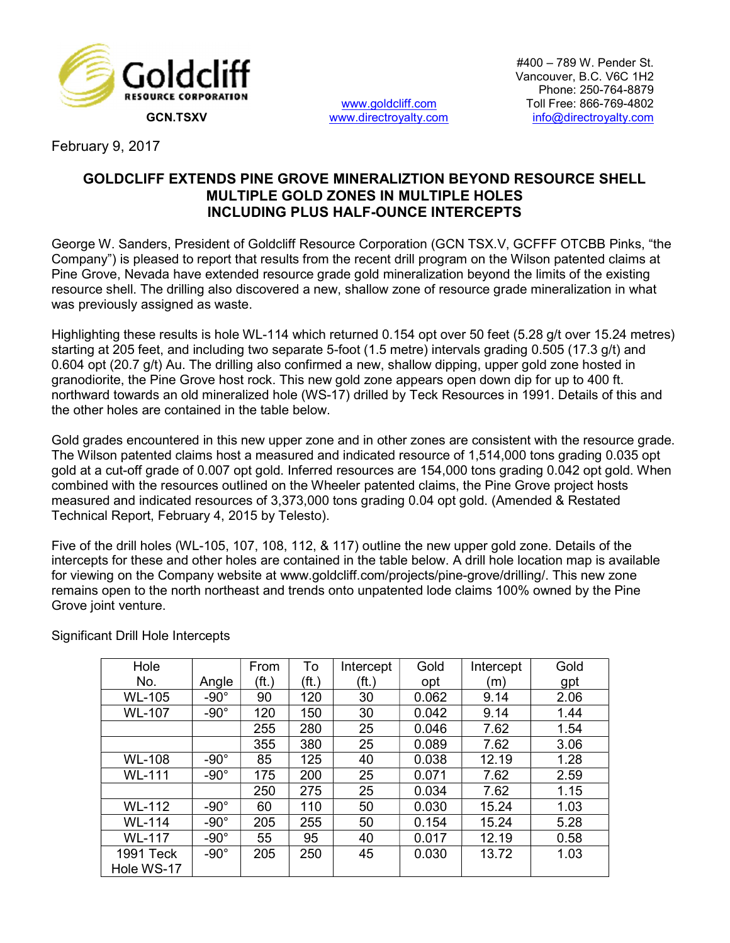

www.goldcliff.com<br>www.directroyalty.com

February 9, 2017

## GOLDCLIFF EXTENDS PINE GROVE MINERALIZTION BEYOND RESOURCE SHELL MULTIPLE GOLD ZONES IN MULTIPLE HOLES INCLUDING PLUS HALF-OUNCE INTERCEPTS

George W. Sanders, President of Goldcliff Resource Corporation (GCN TSX.V, GCFFF OTCBB Pinks, "the Company") is pleased to report that results from the recent drill program on the Wilson patented claims at Pine Grove, Nevada have extended resource grade gold mineralization beyond the limits of the existing resource shell. The drilling also discovered a new, shallow zone of resource grade mineralization in what was previously assigned as waste.

Highlighting these results is hole WL-114 which returned 0.154 opt over 50 feet (5.28 g/t over 15.24 metres) starting at 205 feet, and including two separate 5-foot (1.5 metre) intervals grading 0.505 (17.3 g/t) and 0.604 opt (20.7 g/t) Au. The drilling also confirmed a new, shallow dipping, upper gold zone hosted in granodiorite, the Pine Grove host rock. This new gold zone appears open down dip for up to 400 ft. northward towards an old mineralized hole (WS-17) drilled by Teck Resources in 1991. Details of this and the other holes are contained in the table below.

Gold grades encountered in this new upper zone and in other zones are consistent with the resource grade. The Wilson patented claims host a measured and indicated resource of 1,514,000 tons grading 0.035 opt gold at a cut-off grade of 0.007 opt gold. Inferred resources are 154,000 tons grading 0.042 opt gold. When combined with the resources outlined on the Wheeler patented claims, the Pine Grove project hosts measured and indicated resources of 3,373,000 tons grading 0.04 opt gold. (Amended & Restated Technical Report, February 4, 2015 by Telesto).

Five of the drill holes (WL-105, 107, 108, 112, & 117) outline the new upper gold zone. Details of the intercepts for these and other holes are contained in the table below. A drill hole location map is available for viewing on the Company website at www.goldcliff.com/projects/pine-grove/drilling/. This new zone remains open to the north northeast and trends onto unpatented lode claims 100% owned by the Pine Grove joint venture.

| Hole          |             | From  | To    | Intercept | Gold  | Intercept | Gold |
|---------------|-------------|-------|-------|-----------|-------|-----------|------|
| No.           | Angle       | (ft.) | (ft.) | (ft.)     | opt   | m         | gpt  |
| <b>WL-105</b> | $-90^\circ$ | 90    | 120   | 30        | 0.062 | 9.14      | 2.06 |
| <b>WL-107</b> | $-90^\circ$ | 120   | 150   | 30        | 0.042 | 9.14      | 1.44 |
|               |             | 255   | 280   | 25        | 0.046 | 7.62      | 1.54 |
|               |             | 355   | 380   | 25        | 0.089 | 7.62      | 3.06 |
| <b>WL-108</b> | $-90^\circ$ | 85    | 125   | 40        | 0.038 | 12.19     | 1.28 |
| <b>WL-111</b> | $-90^\circ$ | 175   | 200   | 25        | 0.071 | 7.62      | 2.59 |
|               |             | 250   | 275   | 25        | 0.034 | 7.62      | 1.15 |
| <b>WL-112</b> | $-90^\circ$ | 60    | 110   | 50        | 0.030 | 15.24     | 1.03 |
| <b>WL-114</b> | $-90^\circ$ | 205   | 255   | 50        | 0.154 | 15.24     | 5.28 |
| <b>WL-117</b> | $-90^\circ$ | 55    | 95    | 40        | 0.017 | 12.19     | 0.58 |
| 1991 Teck     | $-90^\circ$ | 205   | 250   | 45        | 0.030 | 13.72     | 1.03 |
| Hole WS-17    |             |       |       |           |       |           |      |

Significant Drill Hole Intercepts